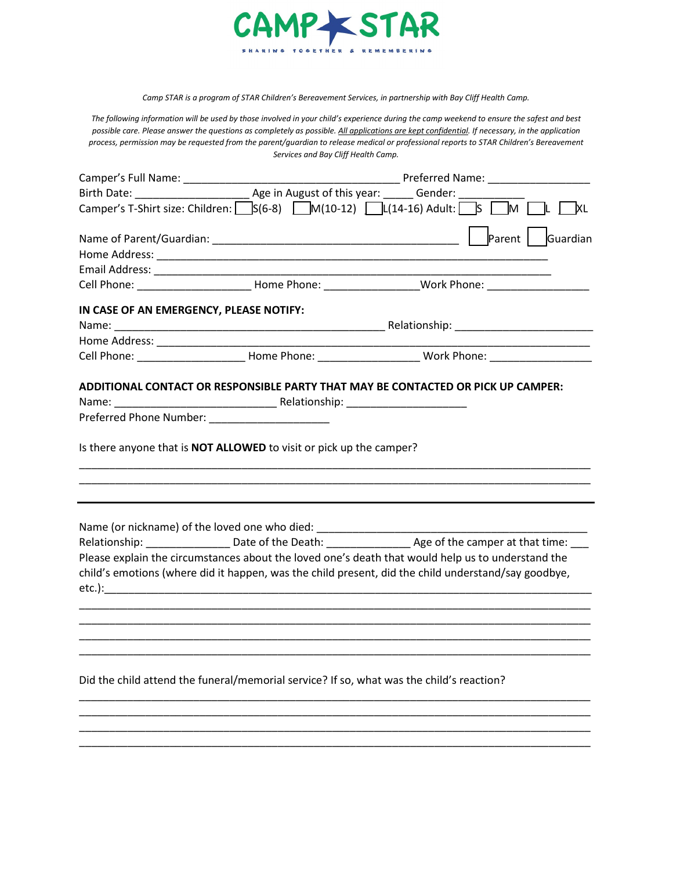

*Camp STAR is a program of STAR Children's Bereavement Services, in partnership with Bay Cliff Health Camp.*

*The following information will be used by those involved in your child's experience during the camp weekend to ensure the safest and best possible care. Please answer the questions as completely as possible. All applications are kept confidential. If necessary, in the application process, permission may be requested from the parent/guardian to release medical or professional reports to STAR Children's Bereavement Services and Bay Cliff Health Camp.*

| <b>Example 2 Preferred Name: Example 2 Preferred Name:</b>                                                             |  |                                                                                                                                                                                                                            |
|------------------------------------------------------------------------------------------------------------------------|--|----------------------------------------------------------------------------------------------------------------------------------------------------------------------------------------------------------------------------|
|                                                                                                                        |  |                                                                                                                                                                                                                            |
|                                                                                                                        |  | Camper's T-Shirt size: Children: $S(6-8)$ M(10-12) L(14-16) Adult: S M L KL                                                                                                                                                |
|                                                                                                                        |  |                                                                                                                                                                                                                            |
|                                                                                                                        |  |                                                                                                                                                                                                                            |
|                                                                                                                        |  |                                                                                                                                                                                                                            |
|                                                                                                                        |  |                                                                                                                                                                                                                            |
| IN CASE OF AN EMERGENCY, PLEASE NOTIFY:                                                                                |  |                                                                                                                                                                                                                            |
|                                                                                                                        |  |                                                                                                                                                                                                                            |
|                                                                                                                        |  |                                                                                                                                                                                                                            |
|                                                                                                                        |  | Cell Phone: ___________________________Home Phone: _________________________Work Phone: ______________________                                                                                                             |
| Preferred Phone Number: _______________________<br>Is there anyone that is NOT ALLOWED to visit or pick up the camper? |  |                                                                                                                                                                                                                            |
| Name (or nickname) of the loved one who died: __________________________________                                       |  | Relationship: _____________________Date of the Death: ___________________________ Age of the camper at that time: ___<br>Please explain the circumstances about the loved one's death that would help us to understand the |
|                                                                                                                        |  | child's emotions (where did it happen, was the child present, did the child understand/say goodbye,                                                                                                                        |
| Did the child attend the funeral/memorial service? If so, what was the child's reaction?                               |  |                                                                                                                                                                                                                            |

\_\_\_\_\_\_\_\_\_\_\_\_\_\_\_\_\_\_\_\_\_\_\_\_\_\_\_\_\_\_\_\_\_\_\_\_\_\_\_\_\_\_\_\_\_\_\_\_\_\_\_\_\_\_\_\_\_\_\_\_\_\_\_\_\_\_\_\_\_\_\_\_\_\_\_\_\_\_\_\_\_\_\_\_\_ \_\_\_\_\_\_\_\_\_\_\_\_\_\_\_\_\_\_\_\_\_\_\_\_\_\_\_\_\_\_\_\_\_\_\_\_\_\_\_\_\_\_\_\_\_\_\_\_\_\_\_\_\_\_\_\_\_\_\_\_\_\_\_\_\_\_\_\_\_\_\_\_\_\_\_\_\_\_\_\_\_\_\_\_\_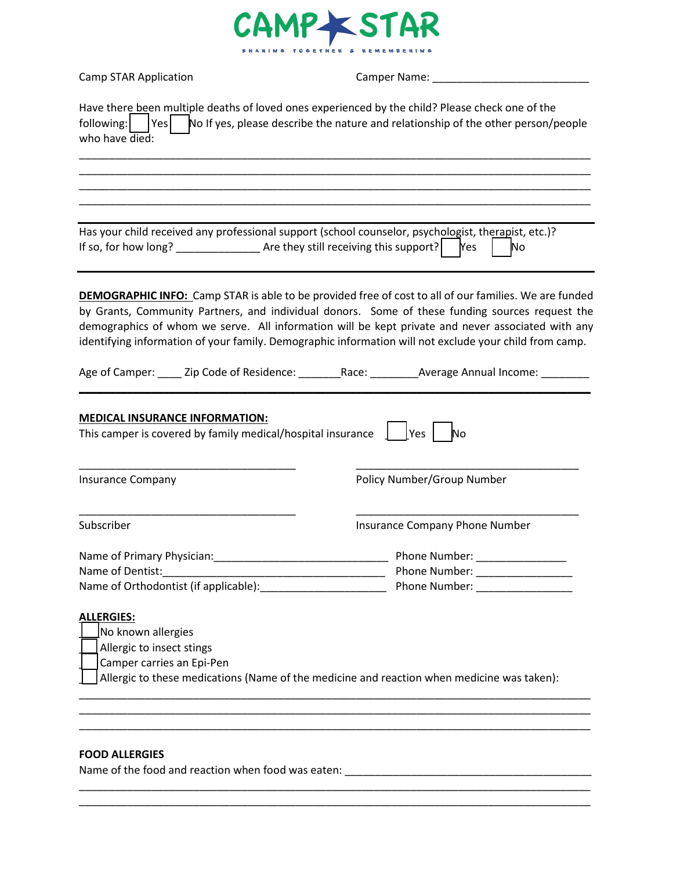

Camp STAR Application Camper Name: \_\_\_\_\_\_\_\_\_\_\_\_\_\_\_\_\_\_\_\_\_\_\_\_\_\_

| Have there been multiple deaths of loved ones experienced by the child? Please check one of the<br>following:<br>who have $\overline{died}$ :                                          | $\vert$ Yes $\vert$ No If yes, please describe the nature and relationship of the other person/people                                                                                                                                                                                                                                                                                                                          |
|----------------------------------------------------------------------------------------------------------------------------------------------------------------------------------------|--------------------------------------------------------------------------------------------------------------------------------------------------------------------------------------------------------------------------------------------------------------------------------------------------------------------------------------------------------------------------------------------------------------------------------|
|                                                                                                                                                                                        |                                                                                                                                                                                                                                                                                                                                                                                                                                |
| Has your child received any professional support (school counselor, psychologist, therapist, etc.)?<br>If so, for how long? $\frac{1}{2}$ Are they still receiving this support?   Yes | No                                                                                                                                                                                                                                                                                                                                                                                                                             |
|                                                                                                                                                                                        | <b>DEMOGRAPHIC INFO:</b> Camp STAR is able to be provided free of cost to all of our families. We are funded<br>by Grants, Community Partners, and individual donors. Some of these funding sources request the<br>demographics of whom we serve. All information will be kept private and never associated with any<br>identifying information of your family. Demographic information will not exclude your child from camp. |
| Age of Camper: ______ Zip Code of Residence: ___________ Race: _________ Average Annual Income:                                                                                        |                                                                                                                                                                                                                                                                                                                                                                                                                                |
| <b>MEDICAL INSURANCE INFORMATION:</b><br>This camper is covered by family medical/hospital insurance                                                                                   | Yes  <br>No                                                                                                                                                                                                                                                                                                                                                                                                                    |
| <b>Insurance Company</b>                                                                                                                                                               | Policy Number/Group Number                                                                                                                                                                                                                                                                                                                                                                                                     |
| Subscriber                                                                                                                                                                             | <b>Insurance Company Phone Number</b>                                                                                                                                                                                                                                                                                                                                                                                          |
| Name of Primary Physician: Name of Primary Physician:<br>Name of Dentist:<br>Name of Orthodontist (if applicable):                                                                     | Phone Number: National Phone Number:<br>Phone Number: The Contract of the Contract of the Contract of the Contract of the Contract of the Contract of the Contract of the Contract of the Contract of the Contract of the Contract of the Contract of the Contract of<br>Phone Number:                                                                                                                                         |
| <b>ALLERGIES:</b><br>No known allergies<br>Allergic to insect stings<br>Camper carries an Epi-Pen                                                                                      | Allergic to these medications (Name of the medicine and reaction when medicine was taken):                                                                                                                                                                                                                                                                                                                                     |
| <b>FOOD ALLERGIES</b>                                                                                                                                                                  |                                                                                                                                                                                                                                                                                                                                                                                                                                |

\_\_\_\_\_\_\_\_\_\_\_\_\_\_\_\_\_\_\_\_\_\_\_\_\_\_\_\_\_\_\_\_\_\_\_\_\_\_\_\_\_\_\_\_\_\_\_\_\_\_\_\_\_\_\_\_\_\_\_\_\_\_\_\_\_\_\_\_\_\_\_\_\_\_\_\_\_\_\_\_\_\_\_\_\_ \_\_\_\_\_\_\_\_\_\_\_\_\_\_\_\_\_\_\_\_\_\_\_\_\_\_\_\_\_\_\_\_\_\_\_\_\_\_\_\_\_\_\_\_\_\_\_\_\_\_\_\_\_\_\_\_\_\_\_\_\_\_\_\_\_\_\_\_\_\_\_\_\_\_\_\_\_\_\_\_\_\_\_\_\_

Name of the food and reaction when food was eaten: \_\_\_\_\_\_\_\_\_\_\_\_\_\_\_\_\_\_\_\_\_\_\_\_\_\_\_\_\_\_\_\_\_\_\_\_\_\_\_\_\_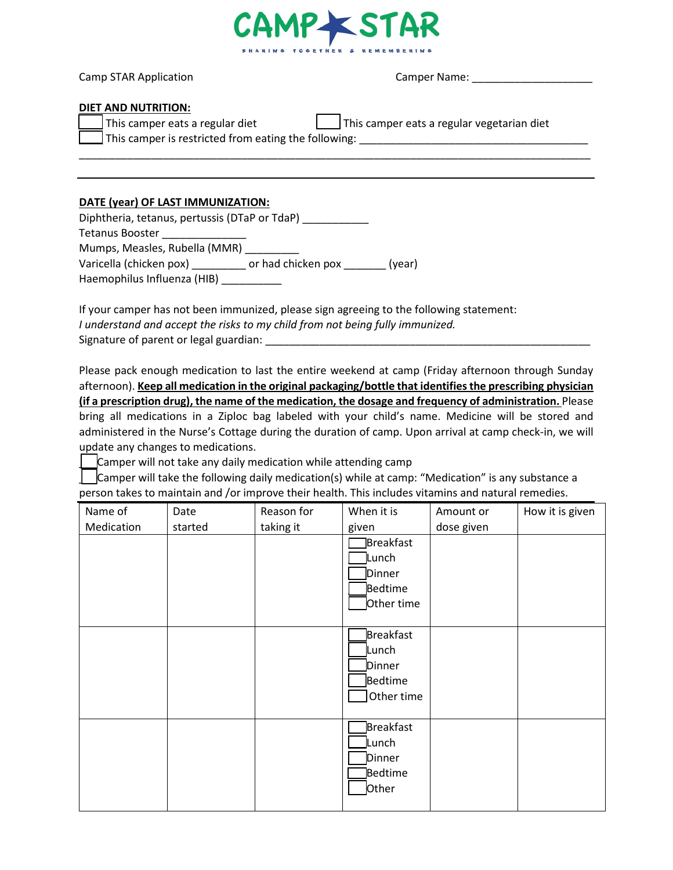

Camp STAR Application Camper Name: \_\_\_\_\_\_\_\_\_\_\_\_\_\_\_\_\_\_\_\_

#### **DIET AND NUTRITION:**

| This camper eats a regular diet | This camper eats a regular vegetarian diet |
|---------------------------------|--------------------------------------------|
|---------------------------------|--------------------------------------------|

\_\_\_\_\_\_\_\_\_\_\_\_\_\_\_\_\_\_\_\_\_\_\_\_\_\_\_\_\_\_\_\_\_\_\_\_\_\_\_\_\_\_\_\_\_\_\_\_\_\_\_\_\_\_\_\_\_\_\_\_\_\_\_\_\_\_\_\_\_\_\_\_\_\_\_\_\_\_\_\_\_\_\_\_\_

This camper is restricted from eating the following:  $\frac{1}{2}$  =  $\frac{1}{2}$  =  $\frac{1}{2}$  =  $\frac{1}{2}$  =  $\frac{1}{2}$  =  $\frac{1}{2}$  =  $\frac{1}{2}$  =  $\frac{1}{2}$  =  $\frac{1}{2}$  =  $\frac{1}{2}$  =  $\frac{1}{2}$  =  $\frac{1}{2}$  =  $\frac{1}{2}$  =  $\frac{1}{2}$  =

### **DATE (year) OF LAST IMMUNIZATION:**

| Diphtheria, tetanus, pertussis (DTaP or TdaP) |                              |
|-----------------------------------------------|------------------------------|
| <b>Tetanus Booster</b>                        |                              |
| Mumps, Measles, Rubella (MMR)                 |                              |
| Varicella (chicken pox)                       | or had chicken pox<br>(year) |
| Haemophilus Influenza (HIB)                   |                              |

If your camper has not been immunized, please sign agreeing to the following statement: *I understand and accept the risks to my child from not being fully immunized.* Signature of parent or legal guardian:

Please pack enough medication to last the entire weekend at camp (Friday afternoon through Sunday afternoon). **Keep all medication in the original packaging/bottle that identifies the prescribing physician (if a prescription drug), the name of the medication, the dosage and frequency of administration.** Please bring all medications in a Ziploc bag labeled with your child's name. Medicine will be stored and administered in the Nurse's Cottage during the duration of camp. Upon arrival at camp check-in, we will update any changes to medications.

Camper will not take any daily medication while attending camp

\_\_\_Camper will take the following daily medication(s) while at camp: "Medication" is any substance a person takes to maintain and /or improve their health. This includes vitamins and natural remedies.

| Name of    | Date    | Reason for | When it is                                                      | Amount or  | How it is given |
|------------|---------|------------|-----------------------------------------------------------------|------------|-----------------|
| Medication | started | taking it  | given                                                           | dose given |                 |
|            |         |            | Breakfast<br>Lunch<br>Dinner<br>Bedtime<br>Other time           |            |                 |
|            |         |            | <b>Breakfast</b><br>Lunch<br>Dinner<br>Bedtime<br>Other time    |            |                 |
|            |         |            | <b>Breakfast</b><br><b>L</b> unch<br>Dinner<br>Bedtime<br>Other |            |                 |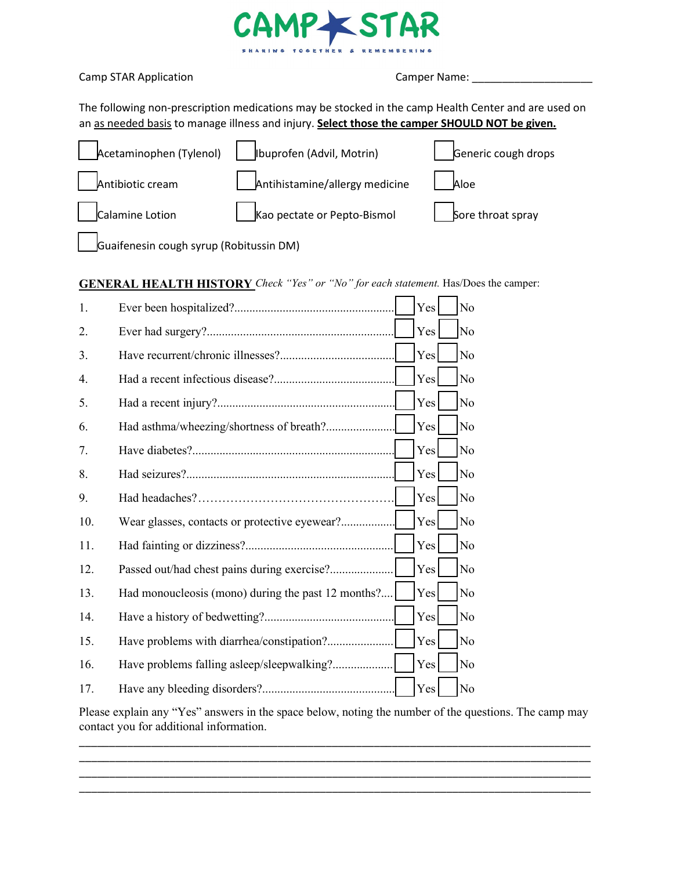

|  |  |  | <b>Camp STAR Application</b> |
|--|--|--|------------------------------|
|--|--|--|------------------------------|

Camp STAR Application Camper Name: \_\_\_\_\_\_\_\_\_\_\_\_\_\_\_\_\_\_\_\_

The following non-prescription medications may be stocked in the camp Health Center and are used on an as needed basis to manage illness and injury. **Select those the camper SHOULD NOT be given.**

| $\Delta$ cetaminophen (Tylenol)         | JIbuprofen (Advil, Motrin)     | Generic cough drops |
|-----------------------------------------|--------------------------------|---------------------|
| Antibiotic cream                        | Antihistamine/allergy medicine | Aloe                |
| Calamine Lotion                         | Kao pectate or Pepto-Bismol    | Sore throat spray   |
| Guaifenesin cough syrup (Robitussin DM) |                                |                     |

## **GENERAL HEALTH HISTORY** *Check "Yes" or "No" for each statement.* Has/Does the camper:

| 1.  |                                                    | Yes | N <sub>o</sub> |
|-----|----------------------------------------------------|-----|----------------|
| 2.  |                                                    | Yes | N <sub>o</sub> |
| 3.  |                                                    | Yes | No             |
| 4.  |                                                    | Yes | N <sub>o</sub> |
| 5.  |                                                    | Yes | No             |
| 6.  | Had asthma/wheezing/shortness of breath?           | Yes | No             |
| 7.  |                                                    | Yes | No             |
| 8.  |                                                    | Yes | No             |
| 9.  |                                                    | Yes | N <sub>o</sub> |
| 10. | Wear glasses, contacts or protective eyewear?      | Yes | No             |
| 11. |                                                    | Yes | No             |
| 12. | Passed out/had chest pains during exercise?        | Yes | No             |
| 13. | Had monoucleosis (mono) during the past 12 months? | Yes | No             |
| 14. |                                                    | Yes | No             |
| 15. | Have problems with diarrhea/constipation?          | Yes | No             |
| 16. |                                                    | Yes | No             |
| 17. |                                                    | Yes | No             |

Please explain any "Yes" answers in the space below, noting the number of the questions. The camp may contact you for additional information.

\_\_\_\_\_\_\_\_\_\_\_\_\_\_\_\_\_\_\_\_\_\_\_\_\_\_\_\_\_\_\_\_\_\_\_\_\_\_\_\_\_\_\_\_\_\_\_\_\_\_\_\_\_\_\_\_\_\_\_\_\_\_\_\_\_\_\_\_\_\_\_\_\_\_\_\_\_\_\_\_\_\_\_\_\_ \_\_\_\_\_\_\_\_\_\_\_\_\_\_\_\_\_\_\_\_\_\_\_\_\_\_\_\_\_\_\_\_\_\_\_\_\_\_\_\_\_\_\_\_\_\_\_\_\_\_\_\_\_\_\_\_\_\_\_\_\_\_\_\_\_\_\_\_\_\_\_\_\_\_\_\_\_\_\_\_\_\_\_\_\_ \_\_\_\_\_\_\_\_\_\_\_\_\_\_\_\_\_\_\_\_\_\_\_\_\_\_\_\_\_\_\_\_\_\_\_\_\_\_\_\_\_\_\_\_\_\_\_\_\_\_\_\_\_\_\_\_\_\_\_\_\_\_\_\_\_\_\_\_\_\_\_\_\_\_\_\_\_\_\_\_\_\_\_\_\_ \_\_\_\_\_\_\_\_\_\_\_\_\_\_\_\_\_\_\_\_\_\_\_\_\_\_\_\_\_\_\_\_\_\_\_\_\_\_\_\_\_\_\_\_\_\_\_\_\_\_\_\_\_\_\_\_\_\_\_\_\_\_\_\_\_\_\_\_\_\_\_\_\_\_\_\_\_\_\_\_\_\_\_\_\_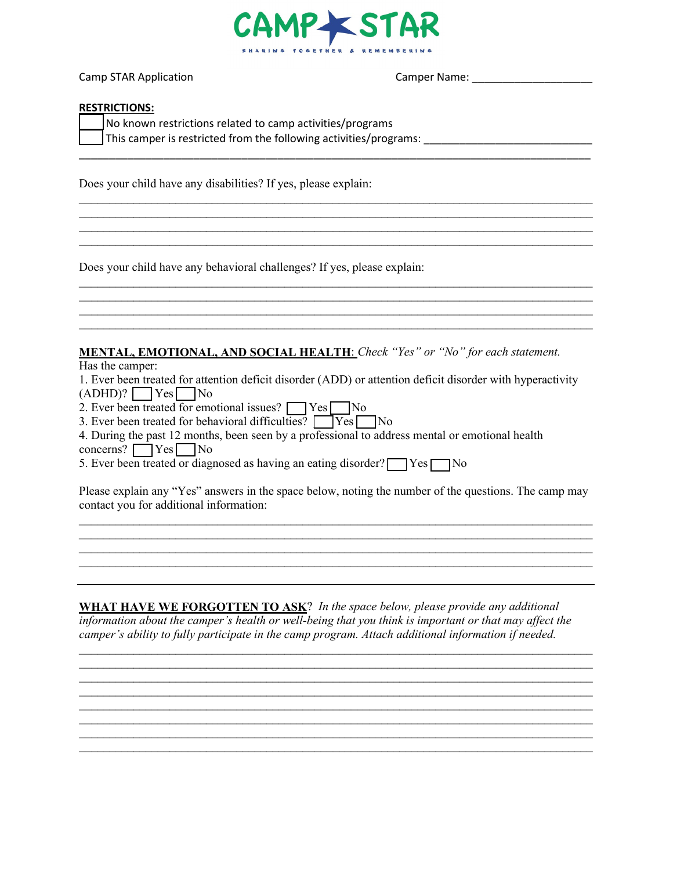

\_\_\_\_\_\_\_\_\_\_\_\_\_\_\_\_\_\_\_\_\_\_\_\_\_\_\_\_\_\_\_\_\_\_\_\_\_\_\_\_\_\_\_\_\_\_\_\_\_\_\_\_\_\_\_\_\_\_\_\_\_\_\_\_\_\_\_\_\_\_\_\_\_\_\_\_\_\_\_\_\_\_\_\_\_

 $\_$  , and the set of the set of the set of the set of the set of the set of the set of the set of the set of the set of the set of the set of the set of the set of the set of the set of the set of the set of the set of th  $\_$ \_\_\_\_\_\_\_\_\_\_\_\_\_\_\_\_\_\_\_\_\_\_\_\_\_\_\_\_\_\_\_\_\_\_\_\_\_\_\_\_\_\_\_\_\_\_\_\_\_\_\_\_\_\_\_\_\_\_\_\_\_\_\_\_\_\_\_\_\_\_\_\_\_\_\_\_\_\_\_\_\_\_\_\_\_ \_\_\_\_\_\_\_\_\_\_\_\_\_\_\_\_\_\_\_\_\_\_\_\_\_\_\_\_\_\_\_\_\_\_\_\_\_\_\_\_\_\_\_\_\_\_\_\_\_\_\_\_\_\_\_\_\_\_\_\_\_\_\_\_\_\_\_\_\_\_\_\_\_\_\_\_\_\_\_\_\_\_\_\_\_

\_\_\_\_\_\_\_\_\_\_\_\_\_\_\_\_\_\_\_\_\_\_\_\_\_\_\_\_\_\_\_\_\_\_\_\_\_\_\_\_\_\_\_\_\_\_\_\_\_\_\_\_\_\_\_\_\_\_\_\_\_\_\_\_\_\_\_\_\_\_\_\_\_\_\_\_\_\_\_\_\_\_\_\_\_ \_\_\_\_\_\_\_\_\_\_\_\_\_\_\_\_\_\_\_\_\_\_\_\_\_\_\_\_\_\_\_\_\_\_\_\_\_\_\_\_\_\_\_\_\_\_\_\_\_\_\_\_\_\_\_\_\_\_\_\_\_\_\_\_\_\_\_\_\_\_\_\_\_\_\_\_\_\_\_\_\_\_\_\_\_ \_\_\_\_\_\_\_\_\_\_\_\_\_\_\_\_\_\_\_\_\_\_\_\_\_\_\_\_\_\_\_\_\_\_\_\_\_\_\_\_\_\_\_\_\_\_\_\_\_\_\_\_\_\_\_\_\_\_\_\_\_\_\_\_\_\_\_\_\_\_\_\_\_\_\_\_\_\_\_\_\_\_\_\_\_ \_\_\_\_\_\_\_\_\_\_\_\_\_\_\_\_\_\_\_\_\_\_\_\_\_\_\_\_\_\_\_\_\_\_\_\_\_\_\_\_\_\_\_\_\_\_\_\_\_\_\_\_\_\_\_\_\_\_\_\_\_\_\_\_\_\_\_\_\_\_\_\_\_\_\_\_\_\_\_\_\_\_\_\_\_

Camp STAR Application Camper Name: \_\_\_\_\_\_\_\_\_\_\_\_\_\_\_\_\_\_\_\_

#### **RESTRICTIONS:**

| No known restrictions related to camp activities/programs         |  |
|-------------------------------------------------------------------|--|
| This camper is restricted from the following activities/programs: |  |

Does your child have any disabilities? If yes, please explain:

Does your child have any behavioral challenges? If yes, please explain:

### **MENTAL, EMOTIONAL, AND SOCIAL HEALTH**: *Check "Yes" or "No" for each statement.*

Has the camper:

1. Ever been treated for attention deficit disorder (ADD) or attention deficit disorder with hyperactivity  $(ADHD)?$   $Yes$  No

2. Ever been treated for emotional issues?  $\Box$  Yes  $\Box$  No

3. Ever been treated for behavioral difficulties?  $\Box$  Yes  $\Box$  No

4. During the past 12 months, been seen by a professional to address mental or emotional health  $concerns?$   $Yes$  No

5. Ever been treated or diagnosed as having an eating disorder?  $\Box$  Yes  $\Box$  No

Please explain any "Yes" answers in the space below, noting the number of the questions. The camp may contact you for additional information:

\_\_\_\_\_\_\_\_\_\_\_\_\_\_\_\_\_\_\_\_\_\_\_\_\_\_\_\_\_\_\_\_\_\_\_\_\_\_\_\_\_\_\_\_\_\_\_\_\_\_\_\_\_\_\_\_\_\_\_\_\_\_\_\_\_\_\_\_\_\_\_\_\_\_\_\_\_\_\_\_\_\_\_\_\_  $\_$  , and the set of the set of the set of the set of the set of the set of the set of the set of the set of the set of the set of the set of the set of the set of the set of the set of the set of the set of the set of th

 $\_$  , and the set of the set of the set of the set of the set of the set of the set of the set of the set of the set of the set of the set of the set of the set of the set of the set of the set of the set of the set of th

 $\overline{a}$  , and the contribution of the contribution of the contribution of the contribution of the contribution of the contribution of the contribution of the contribution of the contribution of the contribution of the co

**WHAT HAVE WE FORGOTTEN TO ASK**? *In the space below, please provide any additional information about the camper's health or well-being that you think is important or that may affect the camper's ability to fully participate in the camp program. Attach additional information if needed.*

 $\_$  , and the set of the set of the set of the set of the set of the set of the set of the set of the set of the set of the set of the set of the set of the set of the set of the set of the set of the set of the set of th  $\mathcal{L}_\text{max}$  and  $\mathcal{L}_\text{max}$  and  $\mathcal{L}_\text{max}$  and  $\mathcal{L}_\text{max}$  and  $\mathcal{L}_\text{max}$  and  $\mathcal{L}_\text{max}$ 

 $\mathcal{L}_\text{max}$  , and the contribution of the contribution of the contribution of the contribution of the contribution of the contribution of the contribution of the contribution of the contribution of the contribution of t  $\mathcal{L}_\text{max}$  , and the contribution of the contribution of the contribution of the contribution of the contribution of the contribution of the contribution of the contribution of the contribution of the contribution of t  $\mathcal{L}_\text{max}$  , and the contribution of the contribution of the contribution of the contribution of the contribution of the contribution of the contribution of the contribution of the contribution of the contribution of t  $\mathcal{L}_\text{max}$  and  $\mathcal{L}_\text{max}$  and  $\mathcal{L}_\text{max}$  and  $\mathcal{L}_\text{max}$  and  $\mathcal{L}_\text{max}$  and  $\mathcal{L}_\text{max}$ \_\_\_\_\_\_\_\_\_\_\_\_\_\_\_\_\_\_\_\_\_\_\_\_\_\_\_\_\_\_\_\_\_\_\_\_\_\_\_\_\_\_\_\_\_\_\_\_\_\_\_\_\_\_\_\_\_\_\_\_\_\_\_\_\_\_\_\_\_\_\_\_\_\_\_\_\_\_\_\_\_\_\_\_\_